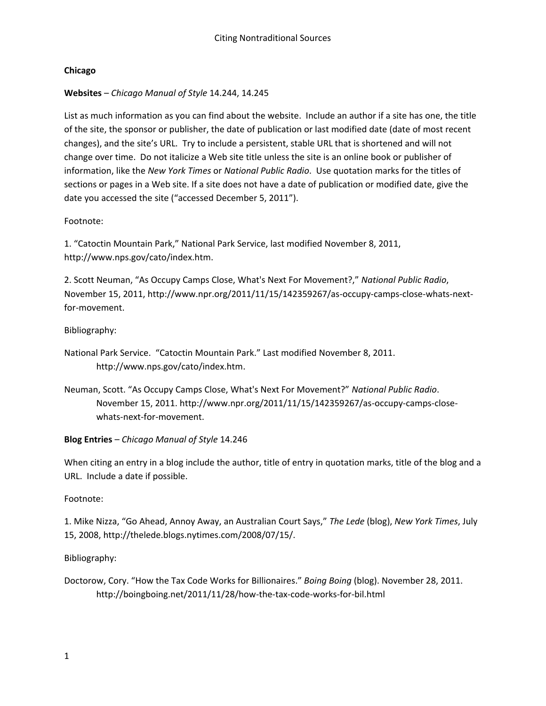## **Chicago**

# **Websites** – *Chicago Manual of Style* 14.244, 14.245

List as much information as you can find about the website. Include an author if a site has one, the title of the site, the sponsor or publisher, the date of publication or last modified date (date of most recent changes), and the site's URL. Try to include a persistent, stable URL that is shortened and will not change over time. Do not italicize a Web site title unless the site is an online book or publisher of information, like the *New York Times* or *National Public Radio*. Use quotation marks for the titles of sections or pages in a Web site. If a site does not have a date of publication or modified date, give the date you accessed the site ("accessed December 5, 2011").

## Footnote:

1. "Catoctin Mountain Park," National Park Service, last modified November 8, 2011, http://www.nps.gov/cato/index.htm.

2. Scott Neuman, "As Occupy Camps Close, What's Next For Movement?," *National Public Radio*, November 15, 2011, http://www.npr.org/2011/11/15/142359267/as-occupy-camps-close-whats-nextfor-movement.

# Bibliography:

National Park Service. "Catoctin Mountain Park." Last modified November 8, 2011. http://www.nps.gov/cato/index.htm.

Neuman, Scott. "As Occupy Camps Close, What's Next For Movement?" *National Public Radio*. November 15, 2011. http://www.npr.org/2011/11/15/142359267/as-occupy-camps-closewhats-next-for-movement.

## **Blog Entries** – *Chicago Manual of Style* 14.246

When citing an entry in a blog include the author, title of entry in quotation marks, title of the blog and a URL. Include a date if possible.

## Footnote:

1. Mike Nizza, "Go Ahead, Annoy Away, an Australian Court Says," *The Lede* (blog), *New York Times*, July 15, 2008, http://thelede.blogs.nytimes.com/2008/07/15/.

## Bibliography:

Doctorow, Cory. "How the Tax Code Works for Billionaires." *Boing Boing* (blog). November 28, 2011. http://boingboing.net/2011/11/28/how-the-tax-code-works-for-bil.html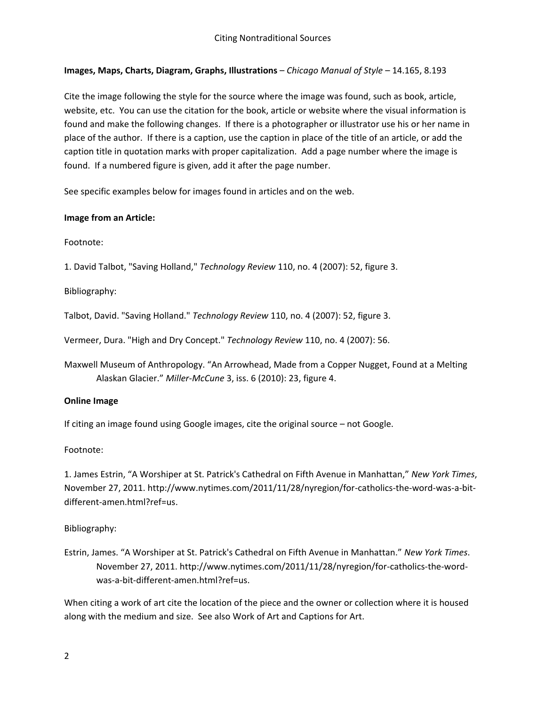## **Images, Maps, Charts, Diagram, Graphs, Illustrations** – *Chicago Manual of Style* – 14.165, 8.193

Cite the image following the style for the source where the image was found, such as book, article, website, etc. You can use the citation for the book, article or website where the visual information is found and make the following changes. If there is a photographer or illustrator use his or her name in place of the author. If there is a caption, use the caption in place of the title of an article, or add the caption title in quotation marks with proper capitalization. Add a page number where the image is found. If a numbered figure is given, add it after the page number.

See specific examples below for images found in articles and on the web.

#### **Image from an Article:**

Footnote:

1. David Talbot, "Saving Holland," *Technology Review* 110, no. 4 (2007): 52, figure 3.

Bibliography:

Talbot, David. "Saving Holland." *Technology Review* 110, no. 4 (2007): 52, figure 3.

Vermeer, Dura. "High and Dry Concept." *Technology Review* 110, no. 4 (2007): 56.

Maxwell Museum of Anthropology. "An Arrowhead, Made from a Copper Nugget, Found at a Melting Alaskan Glacier." *Miller-McCune* 3, iss. 6 (2010): 23, figure 4.

#### **Online Image**

If citing an image found using Google images, cite the original source – not Google.

Footnote:

1. James Estrin, "A Worshiper at St. Patrick's Cathedral on Fifth Avenue in Manhattan," *New York Times*, November 27, 2011. http://www.nytimes.com/2011/11/28/nyregion/for-catholics-the-word-was-a-bitdifferent-amen.html?ref=us.

## Bibliography:

Estrin, James. "A Worshiper at St. Patrick's Cathedral on Fifth Avenue in Manhattan." *New York Times*. November 27, 2011. http://www.nytimes.com/2011/11/28/nyregion/for-catholics-the-wordwas-a-bit-different-amen.html?ref=us.

When citing a work of art cite the location of the piece and the owner or collection where it is housed along with the medium and size. See also Work of Art and Captions for Art.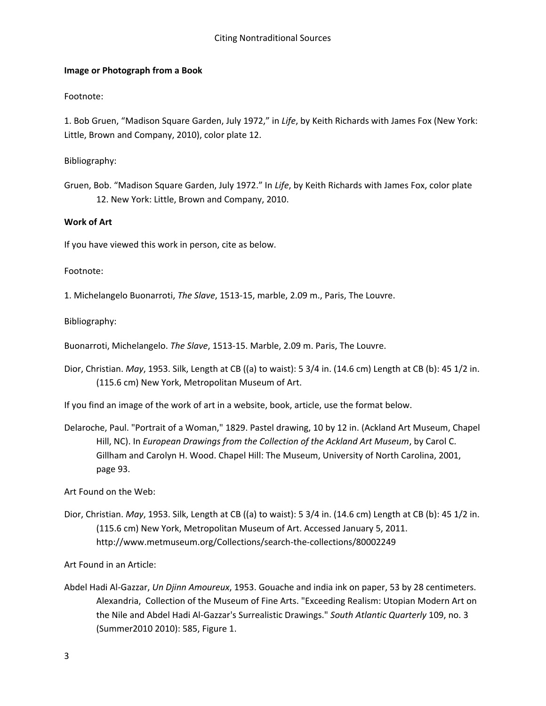#### **Image or Photograph from a Book**

#### Footnote:

1. Bob Gruen, "Madison Square Garden, July 1972," in *Life*, by Keith Richards with James Fox (New York: Little, Brown and Company, 2010), color plate 12.

Bibliography:

Gruen, Bob. "Madison Square Garden, July 1972." In *Life*, by Keith Richards with James Fox, color plate 12. New York: Little, Brown and Company, 2010.

#### **Work of Art**

If you have viewed this work in person, cite as below.

Footnote:

1. Michelangelo Buonarroti, *The Slave*, 1513-15, marble, 2.09 m., Paris, The Louvre.

Bibliography:

Buonarroti, Michelangelo. *The Slave*, 1513-15. Marble, 2.09 m. Paris, The Louvre.

Dior, Christian. *May*, 1953. Silk, Length at CB ((a) to waist): 5 3/4 in. (14.6 cm) Length at CB (b): 45 1/2 in. (115.6 cm) New York, Metropolitan Museum of Art.

If you find an image of the work of art in a website, book, article, use the format below.

Delaroche, Paul. "Portrait of a Woman," 1829. Pastel drawing, 10 by 12 in. (Ackland Art Museum, Chapel Hill, NC). In *European Drawings from the Collection of the Ackland Art Museum*, by Carol C. Gillham and Carolyn H. Wood. Chapel Hill: The Museum, University of North Carolina, 2001, page 93.

Art Found on the Web:

Dior, Christian. *May*, 1953. Silk, Length at CB ((a) to waist): 5 3/4 in. (14.6 cm) Length at CB (b): 45 1/2 in. (115.6 cm) New York, Metropolitan Museum of Art. Accessed January 5, 2011. http://www.metmuseum.org/Collections/search-the-collections/80002249

Art Found in an Article:

Abdel Hadi Al-Gazzar, *Un Djinn Amoureux*, 1953. Gouache and india ink on paper, 53 by 28 centimeters. Alexandria, Collection of the Museum of Fine Arts. "Exceeding Realism: Utopian Modern Art on the Nile and Abdel Hadi Al-Gazzar's Surrealistic Drawings." *South Atlantic Quarterly* 109, no. 3 (Summer2010 2010): 585, Figure 1.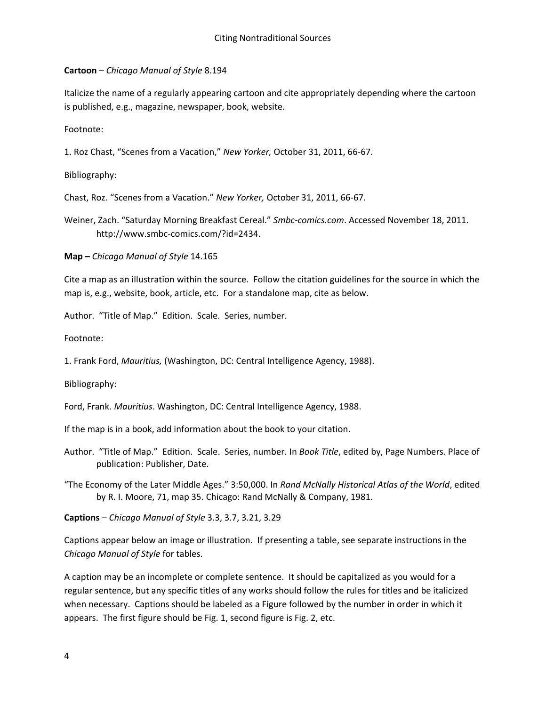#### **Cartoon** – *Chicago Manual of Style* 8.194

Italicize the name of a regularly appearing cartoon and cite appropriately depending where the cartoon is published, e.g., magazine, newspaper, book, website.

Footnote:

1. Roz Chast, "Scenes from a Vacation," *New Yorker,* October 31, 2011, 66-67.

Bibliography:

Chast, Roz. "Scenes from a Vacation." *New Yorker,* October 31, 2011, 66-67.

Weiner, Zach. "Saturday Morning Breakfast Cereal." *Smbc-comics.com*. Accessed November 18, 2011. http://www.smbc-comics.com/?id=2434.

**Map –** *Chicago Manual of Style* 14.165

Cite a map as an illustration within the source. Follow the citation guidelines for the source in which the map is, e.g., website, book, article, etc. For a standalone map, cite as below.

Author. "Title of Map." Edition. Scale. Series, number.

Footnote:

1. Frank Ford, *Mauritius,* (Washington, DC: Central Intelligence Agency, 1988).

Bibliography:

Ford, Frank. *Mauritius*. Washington, DC: Central Intelligence Agency, 1988.

If the map is in a book, add information about the book to your citation.

Author. "Title of Map." Edition. Scale. Series, number. In *Book Title*, edited by, Page Numbers. Place of publication: Publisher, Date.

"The Economy of the Later Middle Ages." 3:50,000. In *Rand McNally Historical Atlas of the World*, edited by R. I. Moore, 71, map 35. Chicago: Rand McNally & Company, 1981.

**Captions** – *Chicago Manual of Style* 3.3, 3.7, 3.21, 3.29

Captions appear below an image or illustration. If presenting a table, see separate instructions in the *Chicago Manual of Style* for tables.

A caption may be an incomplete or complete sentence. It should be capitalized as you would for a regular sentence, but any specific titles of any works should follow the rules for titles and be italicized when necessary. Captions should be labeled as a Figure followed by the number in order in which it appears. The first figure should be Fig. 1, second figure is Fig. 2, etc.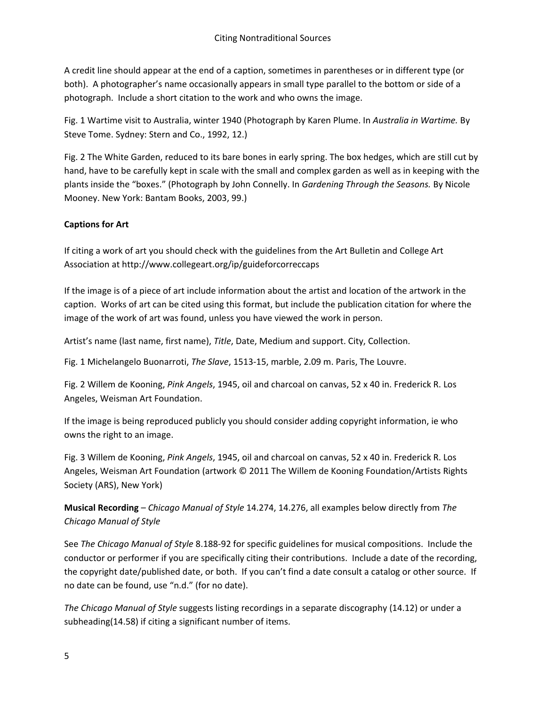A credit line should appear at the end of a caption, sometimes in parentheses or in different type (or both). A photographer's name occasionally appears in small type parallel to the bottom or side of a photograph. Include a short citation to the work and who owns the image.

Fig. 1 Wartime visit to Australia, winter 1940 (Photograph by Karen Plume. In *Australia in Wartime.* By Steve Tome. Sydney: Stern and Co., 1992, 12.)

Fig. 2 The White Garden, reduced to its bare bones in early spring. The box hedges, which are still cut by hand, have to be carefully kept in scale with the small and complex garden as well as in keeping with the plants inside the "boxes." (Photograph by John Connelly. In *Gardening Through the Seasons.* By Nicole Mooney. New York: Bantam Books, 2003, 99.)

# **Captions for Art**

If citing a work of art you should check with the guidelines from the Art Bulletin and College Art Association at http://www.collegeart.org/ip/guideforcorreccaps

If the image is of a piece of art include information about the artist and location of the artwork in the caption. Works of art can be cited using this format, but include the publication citation for where the image of the work of art was found, unless you have viewed the work in person.

Artist's name (last name, first name), *Title*, Date, Medium and support. City, Collection.

Fig. 1 Michelangelo Buonarroti, *The Slave*, 1513-15, marble, 2.09 m. Paris, The Louvre.

Fig. 2 Willem de Kooning, *Pink Angels*, 1945, oil and charcoal on canvas, 52 x 40 in. Frederick R. Los Angeles, Weisman Art Foundation.

If the image is being reproduced publicly you should consider adding copyright information, ie who owns the right to an image.

Fig. 3 Willem de Kooning, *Pink Angels*, 1945, oil and charcoal on canvas, 52 x 40 in. Frederick R. Los Angeles, Weisman Art Foundation (artwork © 2011 The Willem de Kooning Foundation/Artists Rights Society (ARS), New York)

**Musical Recording** – *Chicago Manual of Style* 14.274, 14.276, all examples below directly from *The Chicago Manual of Style*

See *The Chicago Manual of Style* 8.188-92 for specific guidelines for musical compositions. Include the conductor or performer if you are specifically citing their contributions. Include a date of the recording, the copyright date/published date, or both. If you can't find a date consult a catalog or other source. If no date can be found, use "n.d." (for no date).

*The Chicago Manual of Style* suggests listing recordings in a separate discography (14.12) or under a subheading(14.58) if citing a significant number of items.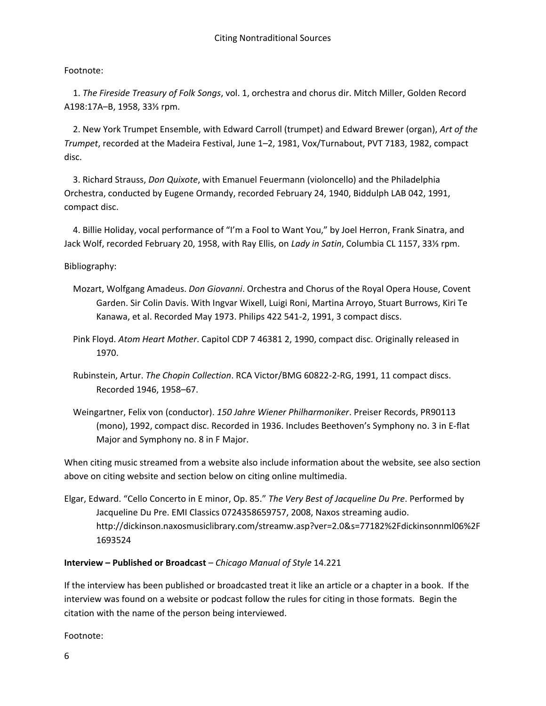## Footnote:

 1. *The Fireside Treasury of Folk Songs*, vol. 1, orchestra and chorus dir. Mitch Miller, Golden Record A198:17A–B, 1958, 33⅓ rpm.

 2. New York Trumpet Ensemble, with Edward Carroll (trumpet) and Edward Brewer (organ), *Art of the Trumpet*, recorded at the Madeira Festival, June 1–2, 1981, Vox/Turnabout, PVT 7183, 1982, compact disc.

 3. Richard Strauss, *Don Quixote*, with Emanuel Feuermann (violoncello) and the Philadelphia Orchestra, conducted by Eugene Ormandy, recorded February 24, 1940, Biddulph LAB 042, 1991, compact disc.

 4. Billie Holiday, vocal performance of "I'm a Fool to Want You," by Joel Herron, Frank Sinatra, and Jack Wolf, recorded February 20, 1958, with Ray Ellis, on *Lady in Satin*, Columbia CL 1157, 33⅓ rpm.

Bibliography:

- Mozart, Wolfgang Amadeus. *Don Giovanni*. Orchestra and Chorus of the Royal Opera House, Covent Garden. Sir Colin Davis. With Ingvar Wixell, Luigi Roni, Martina Arroyo, Stuart Burrows, Kiri Te Kanawa, et al. Recorded May 1973. Philips 422 541-2, 1991, 3 compact discs.
- Pink Floyd. *Atom Heart Mother*. Capitol CDP 7 46381 2, 1990, compact disc. Originally released in 1970.
- Rubinstein, Artur. *The Chopin Collection*. RCA Victor/BMG 60822-2-RG, 1991, 11 compact discs. Recorded 1946, 1958–67.
- Weingartner, Felix von (conductor). *150 Jahre Wiener Philharmoniker*. Preiser Records, PR90113 (mono), 1992, compact disc. Recorded in 1936. Includes Beethoven's Symphony no. 3 in E-flat Major and Symphony no. 8 in F Major.

When citing music streamed from a website also include information about the website, see also section above on citing website and section below on citing online multimedia.

Elgar, Edward. "Cello Concerto in E minor, Op. 85." *The Very Best of Jacqueline Du Pre*. Performed by Jacqueline Du Pre. EMI Classics 0724358659757, 2008, Naxos streaming audio. http://dickinson.naxosmusiclibrary.com/streamw.asp?ver=2.0&s=77182%2Fdickinsonnml06%2F 1693524

## **Interview – Published or Broadcast** – *Chicago Manual of Style* 14.221

If the interview has been published or broadcasted treat it like an article or a chapter in a book. If the interview was found on a website or podcast follow the rules for citing in those formats. Begin the citation with the name of the person being interviewed.

Footnote: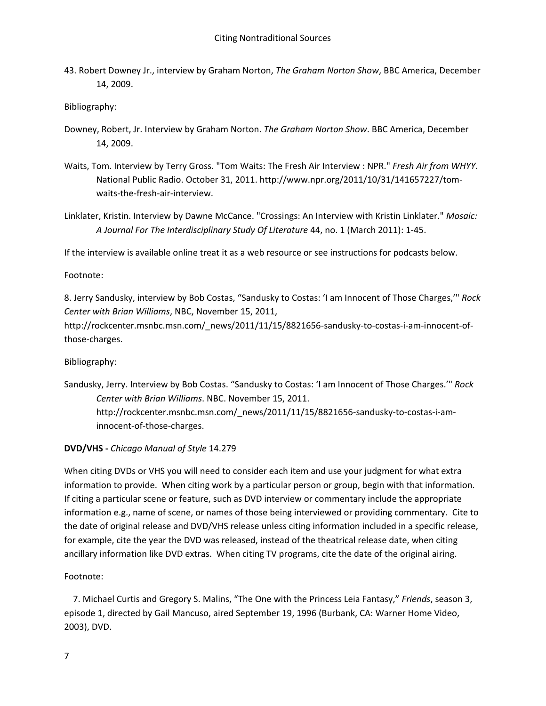43. Robert Downey Jr., interview by Graham Norton, *The Graham Norton Show*, BBC America, December 14, 2009.

Bibliography:

- Downey, Robert, Jr. Interview by Graham Norton. *The Graham Norton Show*. BBC America, December 14, 2009.
- Waits, Tom. Interview by Terry Gross. "Tom Waits: The Fresh Air Interview : NPR." *Fresh Air from WHYY*. National Public Radio. October 31, 2011. http://www.npr.org/2011/10/31/141657227/tomwaits-the-fresh-air-interview.
- Linklater, Kristin. Interview by Dawne McCance. "Crossings: An Interview with Kristin Linklater." *Mosaic: A Journal For The Interdisciplinary Study Of Literature* 44, no. 1 (March 2011): 1-45.

If the interview is available online treat it as a web resource or see instructions for podcasts below.

Footnote:

8. Jerry Sandusky, interview by Bob Costas, "Sandusky to Costas: 'I am Innocent of Those Charges,'" *Rock Center with Brian Williams*, NBC, November 15, 2011,

http://rockcenter.msnbc.msn.com/\_news/2011/11/15/8821656-sandusky-to-costas-i-am-innocent-ofthose-charges.

Bibliography:

Sandusky, Jerry. Interview by Bob Costas. "Sandusky to Costas: 'I am Innocent of Those Charges.'" *Rock Center with Brian Williams*. NBC. November 15, 2011. http://rockcenter.msnbc.msn.com/\_news/2011/11/15/8821656-sandusky-to-costas-i-aminnocent-of-those-charges.

**DVD/VHS -** *Chicago Manual of Style* 14.279

When citing DVDs or VHS you will need to consider each item and use your judgment for what extra information to provide. When citing work by a particular person or group, begin with that information. If citing a particular scene or feature, such as DVD interview or commentary include the appropriate information e.g., name of scene, or names of those being interviewed or providing commentary. Cite to the date of original release and DVD/VHS release unless citing information included in a specific release, for example, cite the year the DVD was released, instead of the theatrical release date, when citing ancillary information like DVD extras. When citing TV programs, cite the date of the original airing.

Footnote:

 7. Michael Curtis and Gregory S. Malins, "The One with the Princess Leia Fantasy," *Friends*, season 3, episode 1, directed by Gail Mancuso, aired September 19, 1996 (Burbank, CA: Warner Home Video, 2003), DVD.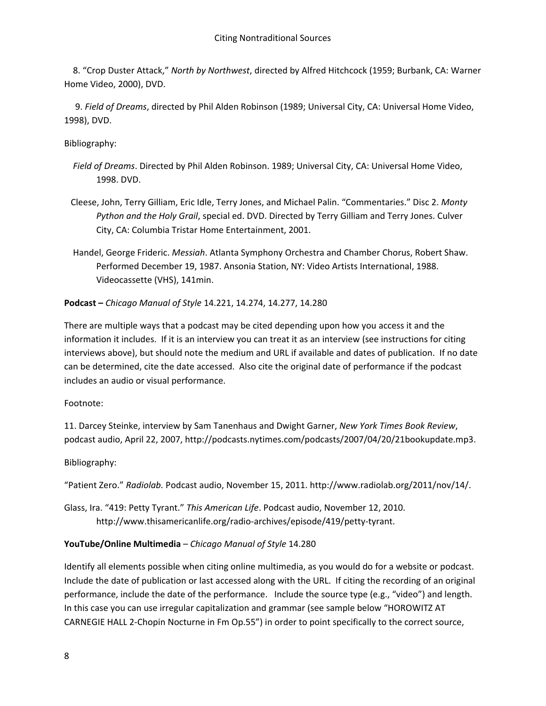8. "Crop Duster Attack," *North by Northwest*, directed by Alfred Hitchcock (1959; Burbank, CA: Warner Home Video, 2000), DVD.

 9. *Field of Dreams*, directed by Phil Alden Robinson (1989; Universal City, CA: Universal Home Video, 1998), DVD.

Bibliography:

- *Field of Dreams*. Directed by Phil Alden Robinson. 1989; Universal City, CA: Universal Home Video, 1998. DVD.
- Cleese, John, Terry Gilliam, Eric Idle, Terry Jones, and Michael Palin. "Commentaries." Disc 2. *Monty Python and the Holy Grail*, special ed. DVD. Directed by Terry Gilliam and Terry Jones. Culver City, CA: Columbia Tristar Home Entertainment, 2001.
- Handel, George Frideric. *Messiah*. Atlanta Symphony Orchestra and Chamber Chorus, Robert Shaw. Performed December 19, 1987. Ansonia Station, NY: Video Artists International, 1988. Videocassette (VHS), 141min.

**Podcast –** *Chicago Manual of Style* 14.221, 14.274, 14.277, 14.280

There are multiple ways that a podcast may be cited depending upon how you access it and the information it includes. If it is an interview you can treat it as an interview (see instructions for citing interviews above), but should note the medium and URL if available and dates of publication. If no date can be determined, cite the date accessed. Also cite the original date of performance if the podcast includes an audio or visual performance.

#### Footnote:

11. Darcey Steinke, interview by Sam Tanenhaus and Dwight Garner, *New York Times Book Review*, podcast audio, April 22, 2007, http://podcasts.nytimes.com/podcasts/2007/04/20/21bookupdate.mp3.

#### Bibliography:

"Patient Zero." *Radiolab.* Podcast audio, November 15, 2011. http://www.radiolab.org/2011/nov/14/.

Glass, Ira. "419: Petty Tyrant." *This American Life*. Podcast audio, November 12, 2010. http://www.thisamericanlife.org/radio-archives/episode/419/petty-tyrant.

#### **YouTube/Online Multimedia** – *Chicago Manual of Style* 14.280

Identify all elements possible when citing online multimedia, as you would do for a website or podcast. Include the date of publication or last accessed along with the URL. If citing the recording of an original performance, include the date of the performance. Include the source type (e.g., "video") and length. In this case you can use irregular capitalization and grammar (see sample below "HOROWITZ AT CARNEGIE HALL 2-Chopin Nocturne in Fm Op.55") in order to point specifically to the correct source,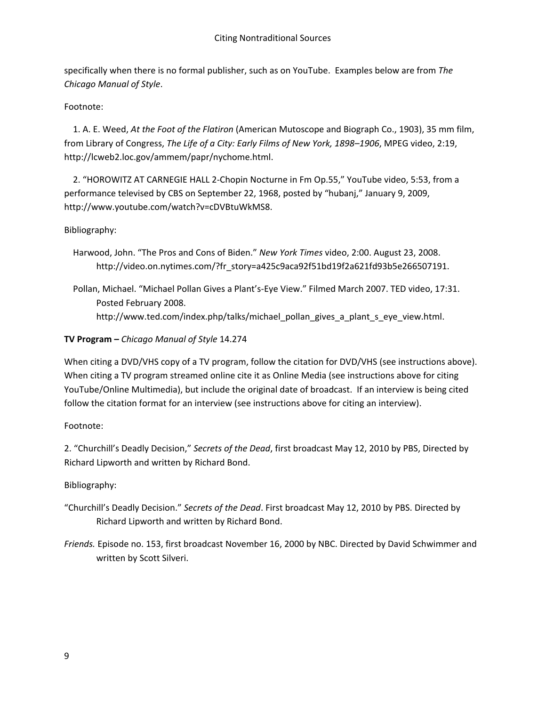specifically when there is no formal publisher, such as on YouTube. Examples below are from *The Chicago Manual of Style*.

Footnote:

 1. A. E. Weed, *At the Foot of the Flatiron* (American Mutoscope and Biograph Co., 1903), 35 mm film, from Library of Congress, *The Life of a City: Early Films of New York, 1898–1906*, MPEG video, 2:19, http://lcweb2.loc.gov/ammem/papr/nychome.html.

 2. "HOROWITZ AT CARNEGIE HALL 2-Chopin Nocturne in Fm Op.55," YouTube video, 5:53, from a performance televised by CBS on September 22, 1968, posted by "hubanj," January 9, 2009, http://www.youtube.com/watch?v=cDVBtuWkMS8.

Bibliography:

 Harwood, John. "The Pros and Cons of Biden." *New York Times* video, 2:00. August 23, 2008. http://video.on.nytimes.com/?fr\_story=a425c9aca92f51bd19f2a621fd93b5e266507191.

 Pollan, Michael. "Michael Pollan Gives a Plant's-Eye View." Filmed March 2007. TED video, 17:31. Posted February 2008. http://www.ted.com/index.php/talks/michael\_pollan\_gives\_a\_plant\_s\_eye\_view.html.

# **TV Program –** *Chicago Manual of Style* 14.274

When citing a DVD/VHS copy of a TV program, follow the citation for DVD/VHS (see instructions above). When citing a TV program streamed online cite it as Online Media (see instructions above for citing YouTube/Online Multimedia), but include the original date of broadcast. If an interview is being cited follow the citation format for an interview (see instructions above for citing an interview).

## Footnote:

2. "Churchill's Deadly Decision," *Secrets of the Dead*, first broadcast May 12, 2010 by PBS, Directed by Richard Lipworth and written by Richard Bond.

# Bibliography:

- "Churchill's Deadly Decision." *Secrets of the Dead*. First broadcast May 12, 2010 by PBS. Directed by Richard Lipworth and written by Richard Bond.
- *Friends.* Episode no. 153, first broadcast November 16, 2000 by NBC. Directed by David Schwimmer and written by Scott Silveri.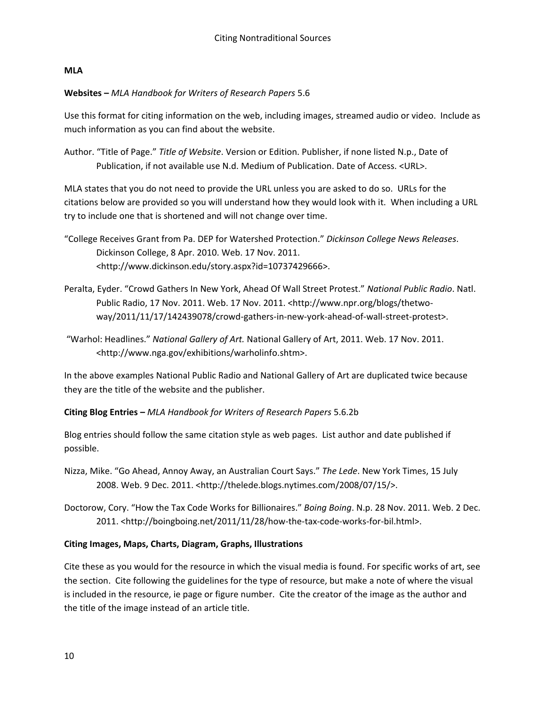### **MLA**

## **Websites –** *MLA Handbook for Writers of Research Papers* 5.6

Use this format for citing information on the web, including images, streamed audio or video. Include as much information as you can find about the website.

Author. "Title of Page." *Title of Website*. Version or Edition. Publisher, if none listed N.p., Date of Publication, if not available use N.d. Medium of Publication. Date of Access. <URL>.

MLA states that you do not need to provide the URL unless you are asked to do so. URLs for the citations below are provided so you will understand how they would look with it. When including a URL try to include one that is shortened and will not change over time.

- "College Receives Grant from Pa. DEP for Watershed Protection." *Dickinson College News Releases*. Dickinson College, 8 Apr. 2010. Web. 17 Nov. 2011. <http://www.dickinson.edu/story.aspx?id=10737429666>.
- Peralta, Eyder. "Crowd Gathers In New York, Ahead Of Wall Street Protest." *National Public Radio*. Natl. Public Radio, 17 Nov. 2011. Web. 17 Nov. 2011. <http://www.npr.org/blogs/thetwoway/2011/11/17/142439078/crowd-gathers-in-new-york-ahead-of-wall-street-protest>.
- "Warhol: Headlines." *National Gallery of Art.* National Gallery of Art, 2011. Web. 17 Nov. 2011. <http://www.nga.gov/exhibitions/warholinfo.shtm>.

In the above examples National Public Radio and National Gallery of Art are duplicated twice because they are the title of the website and the publisher.

## **Citing Blog Entries –** *MLA Handbook for Writers of Research Papers* 5.6.2b

Blog entries should follow the same citation style as web pages. List author and date published if possible.

Nizza, Mike. "Go Ahead, Annoy Away, an Australian Court Says." *The Lede*. New York Times, 15 July 2008. Web. 9 Dec. 2011. <http://thelede.blogs.nytimes.com/2008/07/15/>.

Doctorow, Cory. "How the Tax Code Works for Billionaires." *Boing Boing*. N.p. 28 Nov. 2011. Web. 2 Dec. 2011. <http://boingboing.net/2011/11/28/how-the-tax-code-works-for-bil.html>.

## **Citing Images, Maps, Charts, Diagram, Graphs, Illustrations**

Cite these as you would for the resource in which the visual media is found. For specific works of art, see the section. Cite following the guidelines for the type of resource, but make a note of where the visual is included in the resource, ie page or figure number. Cite the creator of the image as the author and the title of the image instead of an article title.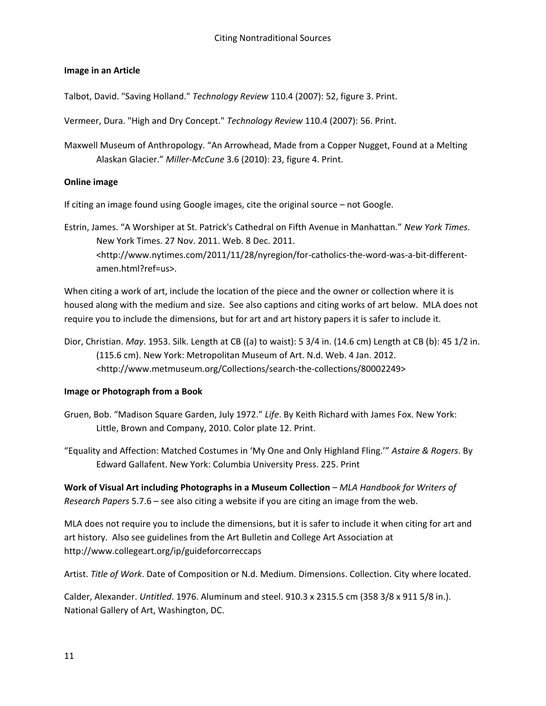#### **Image in an Article**

Talbot, David. "Saving Holland." *Technology Review* 110.4 (2007): 52, figure 3. Print.

Vermeer, Dura. "High and Dry Concept." *Technology Review* 110.4 (2007): 56. Print.

Maxwell Museum of Anthropology. "An Arrowhead, Made from a Copper Nugget, Found at a Melting Alaskan Glacier." *Miller-McCune* 3.6 (2010): 23, figure 4. Print.

#### **Online image**

If citing an image found using Google images, cite the original source – not Google.

Estrin, James. "A Worshiper at St. Patrick's Cathedral on Fifth Avenue in Manhattan." *New York Times*. New York Times. 27 Nov. 2011. Web. 8 Dec. 2011. <http://www.nytimes.com/2011/11/28/nyregion/for-catholics-the-word-was-a-bit-differentamen.html?ref=us>.

When citing a work of art, include the location of the piece and the owner or collection where it is housed along with the medium and size. See also captions and citing works of art below. MLA does not require you to include the dimensions, but for art and art history papers it is safer to include it.

Dior, Christian. *May*. 1953. Silk. Length at CB ((a) to waist): 5 3/4 in. (14.6 cm) Length at CB (b): 45 1/2 in. (115.6 cm). New York: Metropolitan Museum of Art. N.d. Web. 4 Jan. 2012. <http://www.metmuseum.org/Collections/search-the-collections/80002249>

## **Image or Photograph from a Book**

Gruen, Bob. "Madison Square Garden, July 1972." *Life*. By Keith Richard with James Fox. New York: Little, Brown and Company, 2010. Color plate 12. Print.

"Equality and Affection: Matched Costumes in 'My One and Only Highland Fling.'" *Astaire & Rogers*. By Edward Gallafent. New York: Columbia University Press. 225. Print

**Work of Visual Art including Photographs in a Museum Collection** – *MLA Handbook for Writers of Research Papers* 5.7.6 – see also citing a website if you are citing an image from the web.

MLA does not require you to include the dimensions, but it is safer to include it when citing for art and art history. Also see guidelines from the Art Bulletin and College Art Association at http://www.collegeart.org/ip/guideforcorreccaps

Artist. *Title of Work*. Date of Composition or N.d. Medium. Dimensions. Collection. City where located.

Calder, Alexander. *Untitled*. 1976. Aluminum and steel. 910.3 x 2315.5 cm (358 3/8 x 911 5/8 in.). National Gallery of Art, Washington, DC.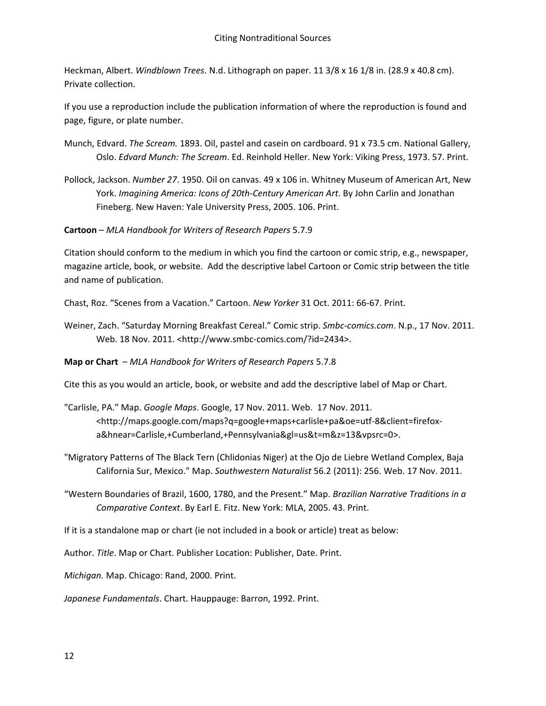Heckman, Albert. *Windblown Trees*. N.d. Lithograph on paper. 11 3/8 x 16 1/8 in. (28.9 x 40.8 cm). Private collection.

If you use a reproduction include the publication information of where the reproduction is found and page, figure, or plate number.

- Munch, Edvard. *The Scream.* 1893. Oil, pastel and casein on cardboard. 91 x 73.5 cm. National Gallery, Oslo. *Edvard Munch: The Scream*. Ed. Reinhold Heller. New York: Viking Press, 1973. 57. Print.
- Pollock, Jackson. *Number 27*. 1950. Oil on canvas. 49 x 106 in. Whitney Museum of American Art, New York. *Imagining America: Icons of 20th-Century American Art*. By John Carlin and Jonathan Fineberg. New Haven: Yale University Press, 2005. 106. Print.

**Cartoon** – *MLA Handbook for Writers of Research Papers* 5.7.9

Citation should conform to the medium in which you find the cartoon or comic strip, e.g., newspaper, magazine article, book, or website. Add the descriptive label Cartoon or Comic strip between the title and name of publication.

Chast, Roz. "Scenes from a Vacation." Cartoon. *New Yorker* 31 Oct. 2011: 66-67. Print.

Weiner, Zach. "Saturday Morning Breakfast Cereal." Comic strip. *Smbc-comics.com*. N.p., 17 Nov. 2011. Web. 18 Nov. 2011. <http://www.smbc-comics.com/?id=2434>.

#### **Map or Chart** – *MLA Handbook for Writers of Research Papers* 5.7.8

Cite this as you would an article, book, or website and add the descriptive label of Map or Chart.

- "Carlisle, PA." Map. *Google Maps*. Google, 17 Nov. 2011. Web. 17 Nov. 2011. <http://maps.google.com/maps?q=google+maps+carlisle+pa&oe=utf-8&client=firefoxa&hnear=Carlisle,+Cumberland,+Pennsylvania&gl=us&t=m&z=13&vpsrc=0>.
- "Migratory Patterns of The Black Tern (Chlidonias Niger) at the Ojo de Liebre Wetland Complex, Baja California Sur, Mexico." Map. *Southwestern Naturalist* 56.2 (2011): 256. Web. 17 Nov. 2011.
- "Western Boundaries of Brazil, 1600, 1780, and the Present." Map. *Brazilian Narrative Traditions in a Comparative Context*. By Earl E. Fitz. New York: MLA, 2005. 43. Print.

If it is a standalone map or chart (ie not included in a book or article) treat as below:

Author. *Title*. Map or Chart. Publisher Location: Publisher, Date. Print.

*Michigan.* Map. Chicago: Rand, 2000. Print.

*Japanese Fundamentals*. Chart. Hauppauge: Barron, 1992. Print.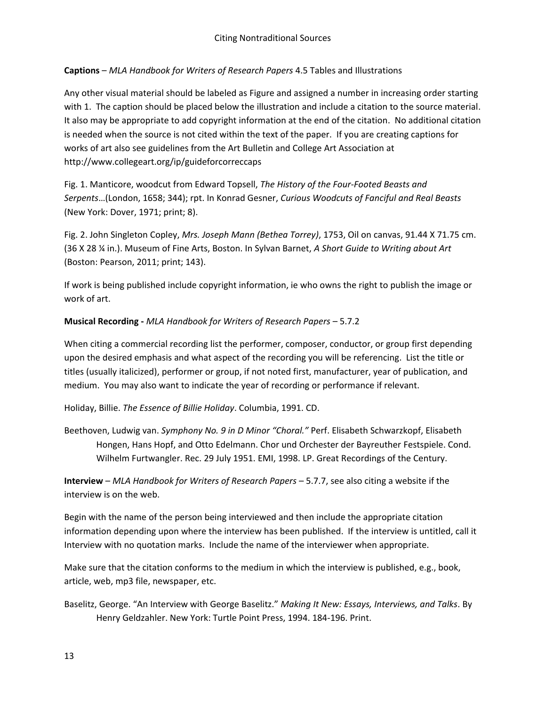# **Captions** – *MLA Handbook for Writers of Research Papers* 4.5 Tables and Illustrations

Any other visual material should be labeled as Figure and assigned a number in increasing order starting with 1. The caption should be placed below the illustration and include a citation to the source material. It also may be appropriate to add copyright information at the end of the citation. No additional citation is needed when the source is not cited within the text of the paper. If you are creating captions for works of art also see guidelines from the Art Bulletin and College Art Association at http://www.collegeart.org/ip/guideforcorreccaps

Fig. 1. Manticore, woodcut from Edward Topsell, *The History of the Four-Footed Beasts and Serpents*…(London, 1658; 344); rpt. In Konrad Gesner, *Curious Woodcuts of Fanciful and Real Beasts*  (New York: Dover, 1971; print; 8).

Fig. 2. John Singleton Copley, *Mrs. Joseph Mann (Bethea Torrey)*, 1753, Oil on canvas, 91.44 X 71.75 cm. (36 X 28 ¼ in.). Museum of Fine Arts, Boston. In Sylvan Barnet, *A Short Guide to Writing about Art* (Boston: Pearson, 2011; print; 143).

If work is being published include copyright information, ie who owns the right to publish the image or work of art.

## **Musical Recording -** *MLA Handbook for Writers of Research Papers* – 5.7.2

When citing a commercial recording list the performer, composer, conductor, or group first depending upon the desired emphasis and what aspect of the recording you will be referencing. List the title or titles (usually italicized), performer or group, if not noted first, manufacturer, year of publication, and medium. You may also want to indicate the year of recording or performance if relevant.

Holiday, Billie. *The Essence of Billie Holiday*. Columbia, 1991. CD.

Beethoven, Ludwig van. *Symphony No. 9 in D Minor "Choral."* Perf. Elisabeth Schwarzkopf, Elisabeth Hongen, Hans Hopf, and Otto Edelmann. Chor und Orchester der Bayreuther Festspiele. Cond. Wilhelm Furtwangler. Rec. 29 July 1951. EMI, 1998. LP. Great Recordings of the Century.

**Interview** – *MLA Handbook for Writers of Research Papers* – 5.7.7, see also citing a website if the interview is on the web.

Begin with the name of the person being interviewed and then include the appropriate citation information depending upon where the interview has been published. If the interview is untitled, call it Interview with no quotation marks. Include the name of the interviewer when appropriate.

Make sure that the citation conforms to the medium in which the interview is published, e.g., book, article, web, mp3 file, newspaper, etc.

Baselitz, George. "An Interview with George Baselitz." *Making It New: Essays, Interviews, and Talks*. By Henry Geldzahler. New York: Turtle Point Press, 1994. 184-196. Print.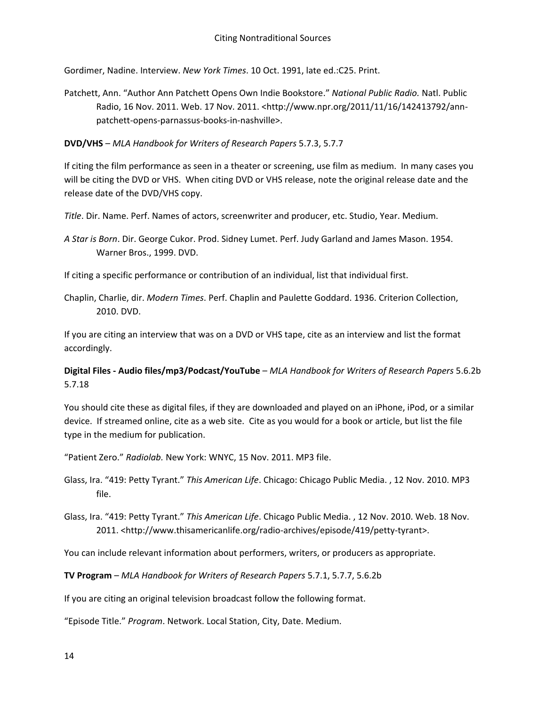Gordimer, Nadine. Interview. *New York Times*. 10 Oct. 1991, late ed.:C25. Print.

Patchett, Ann. "Author Ann Patchett Opens Own Indie Bookstore." *National Public Radio.* Natl. Public Radio, 16 Nov. 2011. Web. 17 Nov. 2011. <http://www.npr.org/2011/11/16/142413792/annpatchett-opens-parnassus-books-in-nashville>.

**DVD/VHS** – *MLA Handbook for Writers of Research Papers* 5.7.3, 5.7.7

If citing the film performance as seen in a theater or screening, use film as medium. In many cases you will be citing the DVD or VHS. When citing DVD or VHS release, note the original release date and the release date of the DVD/VHS copy.

*Title*. Dir. Name. Perf. Names of actors, screenwriter and producer, etc. Studio, Year. Medium.

*A Star is Born*. Dir. George Cukor. Prod. Sidney Lumet. Perf. Judy Garland and James Mason. 1954. Warner Bros., 1999. DVD.

If citing a specific performance or contribution of an individual, list that individual first.

Chaplin, Charlie, dir. *Modern Times*. Perf. Chaplin and Paulette Goddard. 1936. Criterion Collection, 2010. DVD.

If you are citing an interview that was on a DVD or VHS tape, cite as an interview and list the format accordingly.

**Digital Files - Audio files/mp3/Podcast/YouTube** – *MLA Handbook for Writers of Research Papers* 5.6.2b 5.7.18

You should cite these as digital files, if they are downloaded and played on an iPhone, iPod, or a similar device. If streamed online, cite as a web site. Cite as you would for a book or article, but list the file type in the medium for publication.

"Patient Zero." *Radiolab.* New York: WNYC, 15 Nov. 2011. MP3 file.

Glass, Ira. "419: Petty Tyrant." *This American Life*. Chicago: Chicago Public Media. , 12 Nov. 2010. MP3 file.

Glass, Ira. "419: Petty Tyrant." *This American Life*. Chicago Public Media. , 12 Nov. 2010. Web. 18 Nov. 2011. <http://www.thisamericanlife.org/radio-archives/episode/419/petty-tyrant>.

You can include relevant information about performers, writers, or producers as appropriate.

**TV Program** – *MLA Handbook for Writers of Research Papers* 5.7.1, 5.7.7, 5.6.2b

If you are citing an original television broadcast follow the following format.

"Episode Title." *Program*. Network. Local Station, City, Date. Medium.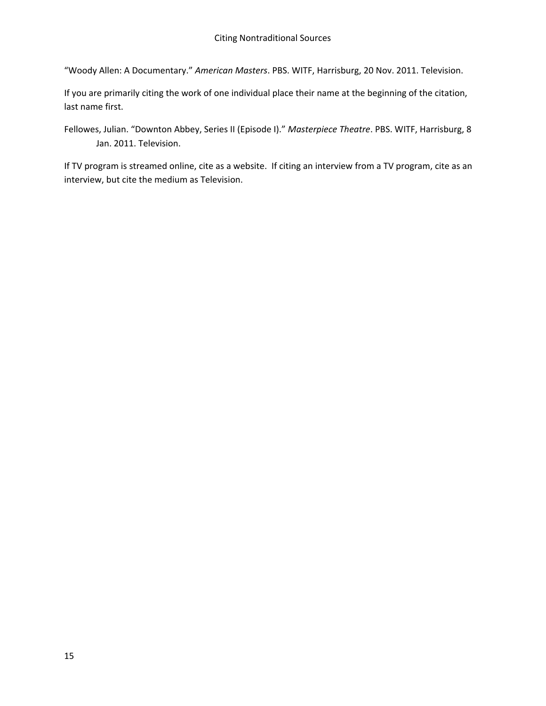"Woody Allen: A Documentary." *American Masters*. PBS. WITF, Harrisburg, 20 Nov. 2011. Television.

If you are primarily citing the work of one individual place their name at the beginning of the citation, last name first.

Fellowes, Julian. "Downton Abbey, Series II (Episode I)." *Masterpiece Theatre*. PBS. WITF, Harrisburg, 8 Jan. 2011. Television.

If TV program is streamed online, cite as a website. If citing an interview from a TV program, cite as an interview, but cite the medium as Television.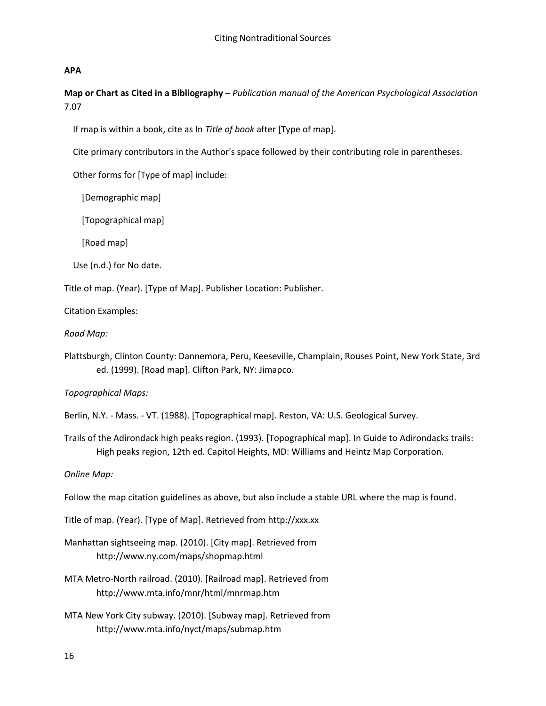#### **APA**

**Map or Chart as Cited in a Bibliography** – *Publication manual of the American Psychological Association* 7.07

If map is within a book, cite as In *Title of book* after [Type of map].

Cite primary contributors in the Author's space followed by their contributing role in parentheses.

Other forms for [Type of map] include:

[Demographic map]

[Topographical map]

[Road map]

Use (n.d.) for No date.

Title of map. (Year). [Type of Map]. Publisher Location: Publisher.

Citation Examples:

*Road Map:*

Plattsburgh, Clinton County: Dannemora, Peru, Keeseville, Champlain, Rouses Point, New York State, 3rd ed. (1999). [Road map]. Clifton Park, NY: Jimapco.

#### *Topographical Maps:*

- Berlin, N.Y. Mass. VT. (1988). [Topographical map]. Reston, VA: U.S. Geological Survey.
- Trails of the Adirondack high peaks region. (1993). [Topographical map]. In Guide to Adirondacks trails: High peaks region, 12th ed. Capitol Heights, MD: Williams and Heintz Map Corporation.

*Online Map:*

Follow the map citation guidelines as above, but also include a stable URL where the map is found.

Title of map. (Year). [Type of Map]. Retrieved from http://xxx.xx

- Manhattan sightseeing map. (2010). [City map]. Retrieved from http://www.ny.com/maps/shopmap.html
- MTA Metro-North railroad. (2010). [Railroad map]. Retrieved from http://www.mta.info/mnr/html/mnrmap.htm
- MTA New York City subway. (2010). [Subway map]. Retrieved from http://www.mta.info/nyct/maps/submap.htm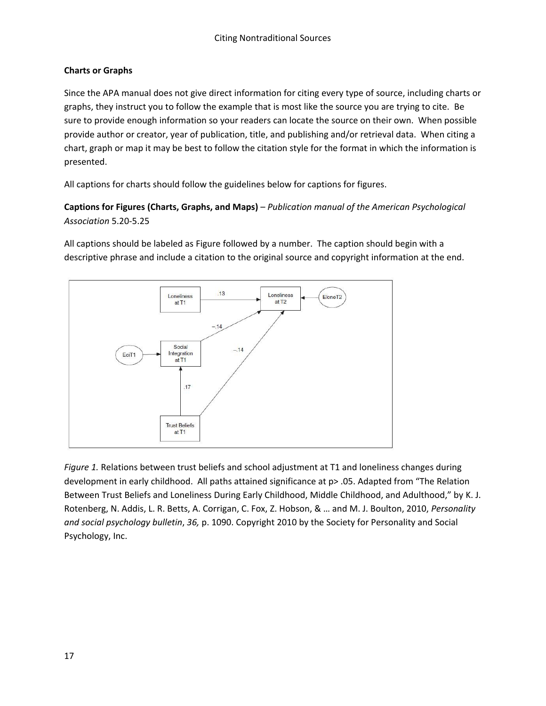# **Charts or Graphs**

Since the APA manual does not give direct information for citing every type of source, including charts or graphs, they instruct you to follow the example that is most like the source you are trying to cite. Be sure to provide enough information so your readers can locate the source on their own. When possible provide author or creator, year of publication, title, and publishing and/or retrieval data. When citing a chart, graph or map it may be best to follow the citation style for the format in which the information is presented.

All captions for charts should follow the guidelines below for captions for figures.

**Captions for Figures (Charts, Graphs, and Maps)** – *Publication manual of the American Psychological Association* 5.20-5.25

All captions should be labeled as Figure followed by a number. The caption should begin with a descriptive phrase and include a citation to the original source and copyright information at the end.



*Figure 1.* Relations between trust beliefs and school adjustment at T1 and loneliness changes during development in early childhood. All paths attained significance at p> .05. Adapted from "The Relation Between Trust Beliefs and Loneliness During Early Childhood, Middle Childhood, and Adulthood," by K. J. Rotenberg, N. Addis, L. R. Betts, A. Corrigan, C. Fox, Z. Hobson, & … and M. J. Boulton, 2010, *Personality and social psychology bulletin*, *36,* p. 1090. Copyright 2010 by the Society for Personality and Social Psychology, Inc.